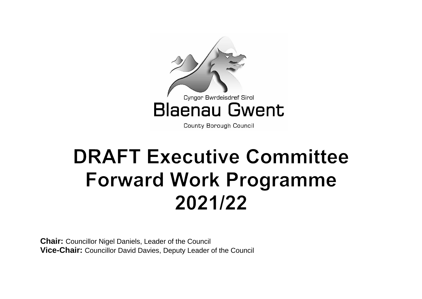

County Borough Council

# **DRAFT Executive Committee Forward Work Programme** 2021/22

**Chair:** Councillor Nigel Daniels, Leader of the Council **Vice-Chair:** Councillor David Davies, Deputy Leader of the Council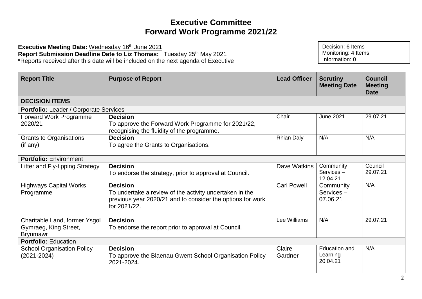**Executive Meeting Date: Wednesday 16th June 2021** Report Submission Deadline Date to Liz Thomas: Tuesday 25<sup>th</sup> May 2021 **\***Reports received after this date will be included on the next agenda of Executive

| <b>Report Title</b>               | <b>Purpose of Report</b>                                                                                                              | <b>Lead Officer</b> | <b>Scrutiny</b><br><b>Meeting Date</b> | <b>Council</b><br><b>Meeting</b><br>Date |  |  |
|-----------------------------------|---------------------------------------------------------------------------------------------------------------------------------------|---------------------|----------------------------------------|------------------------------------------|--|--|
| <b>DECISION ITEMS</b>             |                                                                                                                                       |                     |                                        |                                          |  |  |
|                                   | <b>Portfolio:</b> Leader / Corporate Services                                                                                         |                     |                                        |                                          |  |  |
| Forward Work Programme            | <b>Decision</b>                                                                                                                       | Chair               | <b>June 2021</b>                       | 29.07.21                                 |  |  |
| 2020/21                           | To approve the Forward Work Programme for 2021/22,<br>recognising the fluidity of the programme.                                      |                     |                                        |                                          |  |  |
| <b>Grants to Organisations</b>    | <b>Decision</b>                                                                                                                       | <b>Rhian Daly</b>   | N/A                                    | N/A                                      |  |  |
| (if any)                          | To agree the Grants to Organisations.                                                                                                 |                     |                                        |                                          |  |  |
| <b>Portfolio: Environment</b>     |                                                                                                                                       |                     |                                        |                                          |  |  |
| Litter and Fly-tipping Strategy   | <b>Decision</b>                                                                                                                       | Dave Watkins        | Community                              | Council                                  |  |  |
|                                   | To endorse the strategy, prior to approval at Council.                                                                                |                     | Services-<br>12.04.21                  | 29.07.21                                 |  |  |
| <b>Highways Capital Works</b>     | <b>Decision</b>                                                                                                                       | <b>Carl Powell</b>  | Community                              | N/A                                      |  |  |
| Programme                         | To undertake a review of the activity undertaken in the<br>previous year 2020/21 and to consider the options for work<br>for 2021/22. |                     | Services-<br>07.06.21                  |                                          |  |  |
| Charitable Land, former Ysgol     | <b>Decision</b>                                                                                                                       | Lee Williams        | N/A                                    | 29.07.21                                 |  |  |
| Gymraeg, King Street,             | To endorse the report prior to approval at Council.                                                                                   |                     |                                        |                                          |  |  |
| <b>Brynmawr</b>                   |                                                                                                                                       |                     |                                        |                                          |  |  |
| <b>Portfolio: Education</b>       |                                                                                                                                       |                     |                                        |                                          |  |  |
| <b>School Organisation Policy</b> | <b>Decision</b>                                                                                                                       | Claire              | <b>Education and</b>                   | N/A                                      |  |  |
| $(2021 - 2024)$                   | To approve the Blaenau Gwent School Organisation Policy<br>2021-2024.                                                                 | Gardner             | Learning $-$<br>20.04.21               |                                          |  |  |

Decision: 6 Items Monitoring: 4 Items Information: 0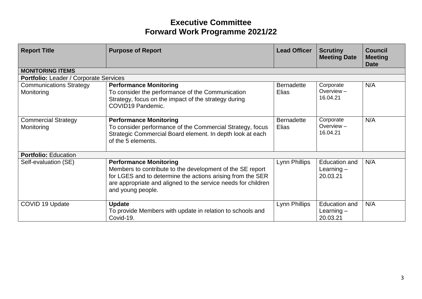| <b>Report Title</b>                          | <b>Purpose of Report</b>                                                                                                                                                                                                                       | <b>Lead Officer</b>        | <b>Scrutiny</b><br><b>Meeting Date</b>    | <b>Council</b><br><b>Meeting</b><br><b>Date</b> |  |
|----------------------------------------------|------------------------------------------------------------------------------------------------------------------------------------------------------------------------------------------------------------------------------------------------|----------------------------|-------------------------------------------|-------------------------------------------------|--|
| <b>MONITORING ITEMS</b>                      |                                                                                                                                                                                                                                                |                            |                                           |                                                 |  |
|                                              | <b>Portfolio: Leader / Corporate Services</b>                                                                                                                                                                                                  |                            |                                           |                                                 |  |
| <b>Communications Strategy</b><br>Monitoring | <b>Performance Monitoring</b><br>To consider the performance of the Communication<br>Strategy, focus on the impact of the strategy during<br>COVID19 Pandemic.                                                                                 | <b>Bernadette</b><br>Elias | Corporate<br>Overview $-$<br>16.04.21     | N/A                                             |  |
| <b>Commercial Strategy</b><br>Monitoring     | <b>Performance Monitoring</b><br>To consider performance of the Commercial Strategy, focus<br>Strategic Commercial Board element. In depth look at each<br>of the 5 elements.                                                                  | <b>Bernadette</b><br>Elias | Corporate<br>Overview $-$<br>16.04.21     | N/A                                             |  |
| <b>Portfolio: Education</b>                  |                                                                                                                                                                                                                                                |                            |                                           |                                                 |  |
| Self-evaluation (SE)                         | <b>Performance Monitoring</b><br>Members to contribute to the development of the SE report<br>for LGES and to determine the actions arising from the SER<br>are appropriate and aligned to the service needs for children<br>and young people. | Lynn Phillips              | Education and<br>Learning $-$<br>20.03.21 | N/A                                             |  |
| COVID 19 Update                              | <b>Update</b><br>To provide Members with update in relation to schools and<br>Covid-19.                                                                                                                                                        | Lynn Phillips              | Education and<br>Learning $-$<br>20.03.21 | N/A                                             |  |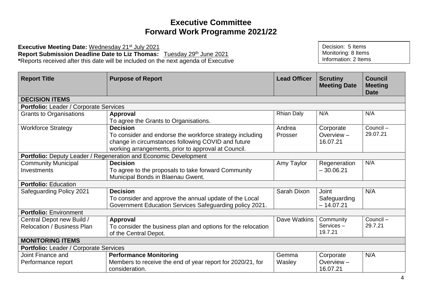**Executive Meeting Date: Wednesday 21st July 2021** Report Submission Deadline Date to Liz Thomas: Tuesday 29<sup>th</sup> June 2021 **\***Reports received after this date will be included on the next agenda of Executive

| <b>Report Title</b>                    | <b>Purpose of Report</b>                                         | <b>Lead Officer</b> | <b>Scrutiny</b><br><b>Meeting Date</b> | <b>Council</b><br><b>Meeting</b><br>Date |
|----------------------------------------|------------------------------------------------------------------|---------------------|----------------------------------------|------------------------------------------|
| <b>DECISION ITEMS</b>                  |                                                                  |                     |                                        |                                          |
| Portfolio: Leader / Corporate Services |                                                                  |                     |                                        |                                          |
| Grants to Organisations                | Approval                                                         | <b>Rhian Daly</b>   | N/A                                    | N/A                                      |
|                                        | To agree the Grants to Organisations.                            |                     |                                        |                                          |
| <b>Workforce Strategy</b>              | <b>Decision</b>                                                  | Andrea              | Corporate                              | Council-                                 |
|                                        | To consider and endorse the workforce strategy including         | Prosser             | Overview-                              | 29.07.21                                 |
|                                        | change in circumstances following COVID and future               |                     | 16.07.21                               |                                          |
|                                        | working arrangements, prior to approval at Council.              |                     |                                        |                                          |
|                                        | Portfolio: Deputy Leader / Regeneration and Economic Development |                     |                                        |                                          |
| <b>Community Municipal</b>             | <b>Decision</b>                                                  | Amy Taylor          | Regeneration                           | N/A                                      |
| Investments                            | To agree to the proposals to take forward Community              |                     | $-30.06.21$                            |                                          |
|                                        | Municipal Bonds in Blaenau Gwent.                                |                     |                                        |                                          |
| <b>Portfolio: Education</b>            |                                                                  |                     |                                        |                                          |
| Safeguarding Policy 2021               | <b>Decision</b>                                                  | Sarah Dixon         | <b>Joint</b>                           | N/A                                      |
|                                        | To consider and approve the annual update of the Local           |                     | Safeguarding                           |                                          |
|                                        | Government Education Services Safeguarding policy 2021.          |                     | $-14.07.21$                            |                                          |
| <b>Portfolio: Environment</b>          |                                                                  |                     |                                        |                                          |
| Central Depot new Build /              | <b>Approval</b>                                                  | Dave Watkins        | Community                              | Council-                                 |
| <b>Relocation / Business Plan</b>      | To consider the business plan and options for the relocation     |                     | Services-                              | 29.7.21                                  |
|                                        | of the Central Depot.                                            |                     | 19.7.21                                |                                          |
| <b>MONITORING ITEMS</b>                |                                                                  |                     |                                        |                                          |
| Portfolio: Leader / Corporate Services |                                                                  |                     |                                        |                                          |
| Joint Finance and                      | <b>Performance Monitoring</b>                                    | Gemma               | Corporate                              | N/A                                      |
| Performance report                     | Members to receive the end of year report for 2020/21, for       | Wasley              | Overview-                              |                                          |
|                                        | consideration.                                                   |                     | 16.07.21                               |                                          |

Decision: 5 Items Monitoring: 8 Items Information: 2 Items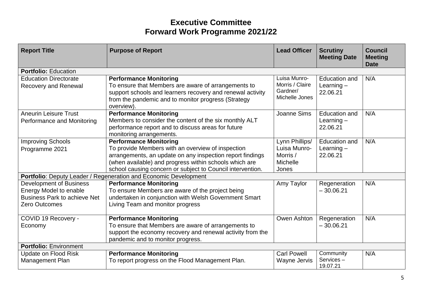| <b>Report Title</b>                                                                                                     | <b>Purpose of Report</b>                                                                                                                                                                                                                                                | <b>Lead Officer</b>                                             | <b>Scrutiny</b><br><b>Meeting Date</b>           | <b>Council</b><br><b>Meeting</b><br><b>Date</b> |
|-------------------------------------------------------------------------------------------------------------------------|-------------------------------------------------------------------------------------------------------------------------------------------------------------------------------------------------------------------------------------------------------------------------|-----------------------------------------------------------------|--------------------------------------------------|-------------------------------------------------|
| <b>Portfolio: Education</b>                                                                                             |                                                                                                                                                                                                                                                                         |                                                                 |                                                  |                                                 |
| <b>Education Directorate</b><br><b>Recovery and Renewal</b>                                                             | <b>Performance Monitoring</b><br>To ensure that Members are aware of arrangements to<br>support schools and learners recovery and renewal activity<br>from the pandemic and to monitor progress (Strategy<br>overview).                                                 | Luisa Munro-<br>Morris / Claire<br>Gardner/<br>Michelle Jones   | Education and<br>Learning $-$<br>22.06.21        | N/A                                             |
| <b>Aneurin Leisure Trust</b><br>Performance and Monitoring                                                              | <b>Performance Monitoring</b><br>Members to consider the content of the six monthly ALT<br>performance report and to discuss areas for future<br>monitoring arrangements.                                                                                               | Joanne Sims                                                     | <b>Education and</b><br>Learning $-$<br>22.06.21 | N/A                                             |
| <b>Improving Schools</b><br>Programme 2021                                                                              | <b>Performance Monitoring</b><br>To provide Members with an overview of inspection<br>arrangements, an update on any inspection report findings<br>(when available) and progress within schools which are<br>school causing concern or subject to Council intervention. | Lynn Phillips/<br>Luisa Munro-<br>Morris /<br>Michelle<br>Jones | <b>Education and</b><br>Learning $-$<br>22.06.21 | N/A                                             |
|                                                                                                                         | Portfolio: Deputy Leader / Regeneration and Economic Development                                                                                                                                                                                                        |                                                                 |                                                  |                                                 |
| <b>Development of Business</b><br>Energy Model to enable<br><b>Business Park to achieve Net</b><br><b>Zero Outcomes</b> | <b>Performance Monitoring</b><br>To ensure Members are aware of the project being<br>undertaken in conjunction with Welsh Government Smart<br>Living Team and monitor progress                                                                                          | Amy Taylor                                                      | Regeneration<br>$-30.06.21$                      | N/A                                             |
| COVID 19 Recovery -<br>Economy                                                                                          | <b>Performance Monitoring</b><br>To ensure that Members are aware of arrangements to<br>support the economy recovery and renewal activity from the<br>pandemic and to monitor progress.                                                                                 | Owen Ashton                                                     | Regeneration<br>$-30.06.21$                      | N/A                                             |
| <b>Portfolio: Environment</b>                                                                                           |                                                                                                                                                                                                                                                                         |                                                                 |                                                  |                                                 |
| Update on Flood Risk<br>Management Plan                                                                                 | <b>Performance Monitoring</b><br>To report progress on the Flood Management Plan.                                                                                                                                                                                       | <b>Carl Powell</b><br>Wayne Jervis                              | Community<br>Services-<br>19.07.21               | N/A                                             |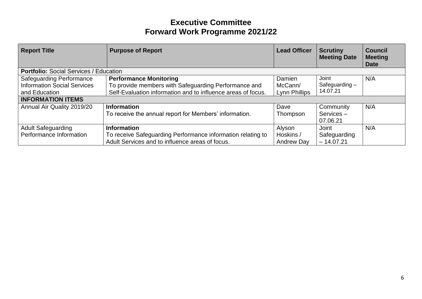| <b>Report Title</b>                                                                                                | <b>Purpose of Report</b>                                                                                                                              | <b>Lead Officer</b>                | <b>Scrutiny</b><br><b>Meeting Date</b>      | <b>Council</b><br><b>Meeting</b><br><b>Date</b> |
|--------------------------------------------------------------------------------------------------------------------|-------------------------------------------------------------------------------------------------------------------------------------------------------|------------------------------------|---------------------------------------------|-------------------------------------------------|
| <b>Portfolio: Social Services / Education</b>                                                                      |                                                                                                                                                       |                                    |                                             |                                                 |
| <b>Safeguarding Performance</b><br><b>Information Social Services</b><br>and Education<br><b>INFORMATION ITEMS</b> | <b>Performance Monitoring</b><br>To provide members with Safeguarding Performance and<br>Self-Evaluation information and to influence areas of focus. | Damien<br>McCann/<br>Lynn Phillips | Joint<br>Safeguarding $-$<br>14.07.21       | N/A                                             |
| Annual Air Quality 2019/20                                                                                         | <b>Information</b><br>To receive the annual report for Members' information.                                                                          | Dave<br>Thompson                   | Community<br>Services-<br>07.06.21          | N/A                                             |
| <b>Adult Safeguarding</b><br>Performance Information                                                               | <b>Information</b><br>To receive Safeguarding Performance information relating to<br>Adult Services and to influence areas of focus.                  | Alyson<br>Hoskins /<br>Andrew Day  | <b>Joint</b><br>Safeguarding<br>$-14.07.21$ | N/A                                             |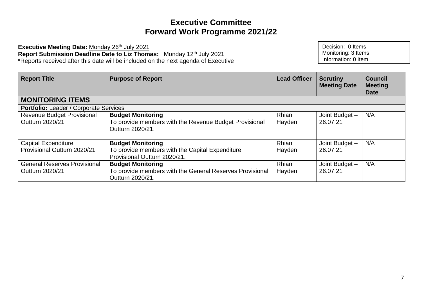**Executive Meeting Date:** Monday 26th July 2021 **Report Submission Deadline Date to Liz Thomas:** Monday 12th July 2021 **\***Reports received after this date will be included on the next agenda of Executive

| <b>Report Title</b>                                  | <b>Purpose of Report</b>                                                                               | <b>Lead Officer</b>    | <b>Scrutiny</b><br><b>Meeting Date</b> | <b>Council</b><br><b>Meeting</b><br><b>Date</b> |
|------------------------------------------------------|--------------------------------------------------------------------------------------------------------|------------------------|----------------------------------------|-------------------------------------------------|
| <b>MONITORING ITEMS</b>                              |                                                                                                        |                        |                                        |                                                 |
| <b>Portfolio:</b> Leader / Corporate Services        |                                                                                                        |                        |                                        |                                                 |
| <b>Revenue Budget Provisional</b><br>Outturn 2020/21 | <b>Budget Monitoring</b><br>To provide members with the Revenue Budget Provisional<br>Outturn 2020/21. | <b>Rhian</b><br>Hayden | Joint Budget -<br>26.07.21             | N/A                                             |
| <b>Capital Expenditure</b>                           | <b>Budget Monitoring</b>                                                                               | Rhian                  | Joint Budget -                         | N/A                                             |
| Provisional Outturn 2020/21                          | To provide members with the Capital Expenditure<br>Provisional Outturn 2020/21.                        | Hayden                 | 26.07.21                               |                                                 |
| <b>General Reserves Provisional</b>                  | <b>Budget Monitoring</b>                                                                               | <b>Rhian</b>           | Joint Budget -                         | N/A                                             |
| Outturn 2020/21                                      | To provide members with the General Reserves Provisional<br>Outturn 2020/21.                           | Hayden                 | 26.07.21                               |                                                 |

Decision: 0 Items Monitoring: 3 Items Information: 0 Item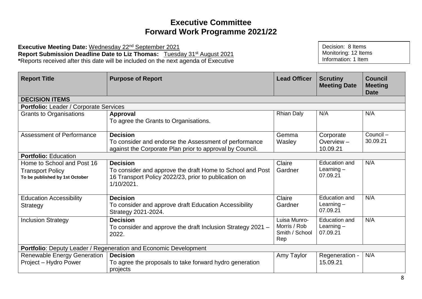**Executive Meeting Date:** Wednesday 22nd September 2021 **Report Submission Deadline Date to Liz Thomas:** Tuesday 31st August 2021 **\***Reports received after this date will be included on the next agenda of Executive

| <b>Report Title</b>                                                                     | <b>Purpose of Report</b>                                                                                                                           | <b>Lead Officer</b>                                   | <b>Scrutiny</b><br><b>Meeting Date</b>    | <b>Council</b><br><b>Meeting</b><br><b>Date</b> |  |  |
|-----------------------------------------------------------------------------------------|----------------------------------------------------------------------------------------------------------------------------------------------------|-------------------------------------------------------|-------------------------------------------|-------------------------------------------------|--|--|
| <b>DECISION ITEMS</b>                                                                   |                                                                                                                                                    |                                                       |                                           |                                                 |  |  |
| Portfolio: Leader / Corporate Services                                                  |                                                                                                                                                    |                                                       |                                           |                                                 |  |  |
| Grants to Organisations                                                                 | Approval<br>To agree the Grants to Organisations.                                                                                                  | <b>Rhian Daly</b>                                     | N/A                                       | N/A                                             |  |  |
| Assessment of Performance                                                               | <b>Decision</b><br>To consider and endorse the Assessment of performance<br>against the Corporate Plan prior to approval by Council.               | Gemma<br>Wasley                                       | Corporate<br>Overview $-$<br>10.09.21     | Council-<br>30.09.21                            |  |  |
| <b>Portfolio: Education</b>                                                             |                                                                                                                                                    |                                                       |                                           |                                                 |  |  |
| Home to School and Post 16<br><b>Transport Policy</b><br>To be published by 1st October | <b>Decision</b><br>To consider and approve the draft Home to School and Post<br>16 Transport Policy 2022/23, prior to publication on<br>1/10/2021. | Claire<br>Gardner                                     | Education and<br>Learning $-$<br>07.09.21 | N/A                                             |  |  |
| <b>Education Accessibility</b><br><b>Strategy</b>                                       | <b>Decision</b><br>To consider and approve draft Education Accessibility<br>Strategy 2021-2024.                                                    | Claire<br>Gardner                                     | Education and<br>Learning $-$<br>07.09.21 | N/A                                             |  |  |
| <b>Inclusion Strategy</b>                                                               | <b>Decision</b><br>To consider and approve the draft Inclusion Strategy 2021 -<br>2022.                                                            | Luisa Munro-<br>Morris / Rob<br>Smith / School<br>Rep | Education and<br>Learning $-$<br>07.09.21 | N/A                                             |  |  |
|                                                                                         | Portfolio: Deputy Leader / Regeneration and Economic Development                                                                                   |                                                       |                                           |                                                 |  |  |
| <b>Renewable Energy Generation</b><br>Project - Hydro Power                             | <b>Decision</b><br>To agree the proposals to take forward hydro generation<br>projects                                                             | Amy Taylor                                            | Regeneration -<br>15.09.21                | N/A                                             |  |  |

Decision: 8 Items Monitoring: 12 Items Information: 1 Item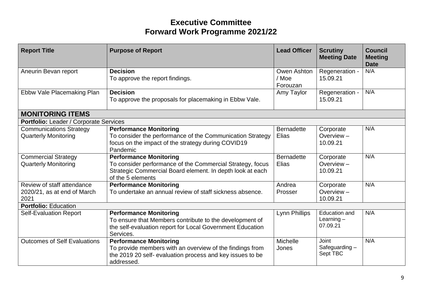| <b>Report Title</b>                                               | <b>Purpose of Report</b>                                                                                                                                                     | <b>Lead Officer</b>              | <b>Scrutiny</b><br><b>Meeting Date</b>    | <b>Council</b><br><b>Meeting</b><br><b>Date</b> |
|-------------------------------------------------------------------|------------------------------------------------------------------------------------------------------------------------------------------------------------------------------|----------------------------------|-------------------------------------------|-------------------------------------------------|
| Aneurin Bevan report                                              | <b>Decision</b><br>To approve the report findings.                                                                                                                           | Owen Ashton<br>/ Moe<br>Forouzan | Regeneration -<br>15.09.21                | N/A                                             |
| Ebbw Vale Placemaking Plan                                        | <b>Decision</b><br>To approve the proposals for placemaking in Ebbw Vale.                                                                                                    | Amy Taylor                       | Regeneration -<br>15.09.21                | N/A                                             |
| <b>MONITORING ITEMS</b>                                           |                                                                                                                                                                              |                                  |                                           |                                                 |
| Portfolio: Leader / Corporate Services                            |                                                                                                                                                                              |                                  |                                           |                                                 |
| <b>Communications Strategy</b><br><b>Quarterly Monitoring</b>     | <b>Performance Monitoring</b><br>To consider the performance of the Communication Strategy<br>focus on the impact of the strategy during COVID19<br>Pandemic                 | <b>Bernadette</b><br>Elias       | Corporate<br>Overview-<br>10.09.21        | N/A                                             |
| <b>Commercial Strategy</b><br><b>Quarterly Monitoring</b>         | <b>Performance Monitoring</b><br>To consider performance of the Commercial Strategy, focus<br>Strategic Commercial Board element. In depth look at each<br>of the 5 elements | <b>Bernadette</b><br>Elias       | Corporate<br>Overview $-$<br>10.09.21     | N/A                                             |
| Review of staff attendance<br>2020/21, as at end of March<br>2021 | <b>Performance Monitoring</b><br>To undertake an annual review of staff sickness absence.                                                                                    | Andrea<br>Prosser                | Corporate<br>Overview-<br>10.09.21        | N/A                                             |
| <b>Portfolio: Education</b>                                       |                                                                                                                                                                              |                                  |                                           |                                                 |
| <b>Self-Evaluation Report</b>                                     | <b>Performance Monitoring</b><br>To ensure that Members contribute to the development of<br>the self-evaluation report for Local Government Education<br>Services.           | Lynn Phillips                    | Education and<br>Learning $-$<br>07.09.21 | N/A                                             |
| <b>Outcomes of Self Evaluations</b>                               | <b>Performance Monitoring</b><br>To provide members with an overview of the findings from<br>the 2019 20 self- evaluation process and key issues to be<br>addressed.         | Michelle<br>Jones                | <b>Joint</b><br>Safeguarding-<br>Sept TBC | N/A                                             |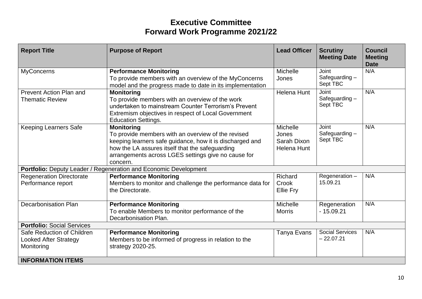| <b>Report Title</b>                                                      | <b>Purpose of Report</b>                                                                                                                                                                                                                                  | <b>Lead Officer</b>                                    | <b>Scrutiny</b><br><b>Meeting Date</b>    | <b>Council</b><br><b>Meeting</b><br><b>Date</b> |
|--------------------------------------------------------------------------|-----------------------------------------------------------------------------------------------------------------------------------------------------------------------------------------------------------------------------------------------------------|--------------------------------------------------------|-------------------------------------------|-------------------------------------------------|
| <b>MyConcerns</b>                                                        | <b>Performance Monitoring</b><br>To provide members with an overview of the MyConcerns<br>model and the progress made to date in its implementation                                                                                                       | Michelle<br>Jones                                      | <b>Joint</b><br>Safeguarding-<br>Sept TBC | N/A                                             |
| Prevent Action Plan and<br><b>Thematic Review</b>                        | <b>Monitoring</b><br>To provide members with an overview of the work<br>undertaken to mainstream Counter Terrorism's Prevent<br>Extremism objectives in respect of Local Government<br><b>Education Settings.</b>                                         | <b>Helena Hunt</b>                                     | <b>Joint</b><br>Safeguarding-<br>Sept TBC | N/A                                             |
| <b>Keeping Learners Safe</b>                                             | <b>Monitoring</b><br>To provide members with an overview of the revised<br>keeping learners safe guidance, how it is discharged and<br>how the LA assures itself that the safeguarding<br>arrangements across LGES settings give no cause for<br>concern. | Michelle<br>Jones<br>Sarah Dixon<br><b>Helena Hunt</b> | Joint<br>Safeguarding-<br>Sept TBC        | N/A                                             |
|                                                                          | Portfolio: Deputy Leader / Regeneration and Economic Development                                                                                                                                                                                          |                                                        |                                           |                                                 |
| <b>Regeneration Directorate</b><br>Performance report                    | <b>Performance Monitoring</b><br>Members to monitor and challenge the performance data for<br>the Directorate.                                                                                                                                            | Richard<br>Crook<br>Ellie Fry                          | Regeneration-<br>15.09.21                 | N/A                                             |
| <b>Decarbonisation Plan</b>                                              | <b>Performance Monitoring</b><br>To enable Members to monitor performance of the<br>Decarbonisation Plan.                                                                                                                                                 | Michelle<br><b>Morris</b>                              | Regeneration<br>$-15.09.21$               | N/A                                             |
| <b>Portfolio: Social Services</b>                                        |                                                                                                                                                                                                                                                           |                                                        |                                           |                                                 |
| Safe Reduction of Children<br><b>Looked After Strategy</b><br>Monitoring | <b>Performance Monitoring</b><br>Members to be informed of progress in relation to the<br>strategy 2020-25.                                                                                                                                               | Tanya Evans                                            | <b>Social Services</b><br>$-22.07.21$     | N/A                                             |
| <b>INFORMATION ITEMS</b>                                                 |                                                                                                                                                                                                                                                           |                                                        |                                           |                                                 |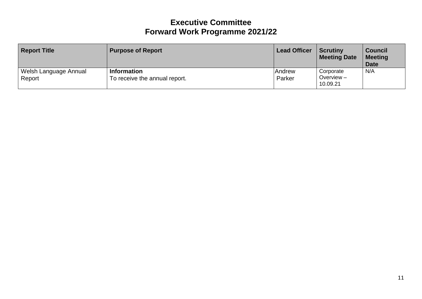| <b>Report Title</b>               | <b>Purpose of Report</b>                            | <b>Lead Officer</b> | <b>Scrutiny</b><br><b>Meeting Date</b> | <b>Council</b><br><b>Meeting</b><br><b>Date</b> |
|-----------------------------------|-----------------------------------------------------|---------------------|----------------------------------------|-------------------------------------------------|
| Welsh Language Annual<br>  Report | <b>Information</b><br>To receive the annual report. | Andrew<br>Parker    | Corporate<br>Overview $-$<br>10.09.21  | N/A                                             |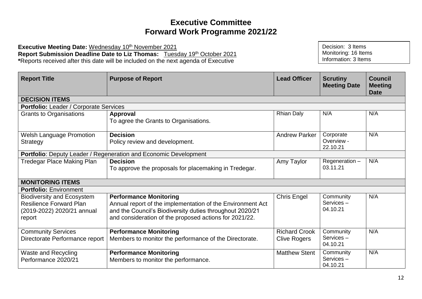**Executive Meeting Date: Wednesday 10th November 2021 Report Submission Deadline Date to Liz Thomas:** Tuesday 19th October 2021 **\***Reports received after this date will be included on the next agenda of Executive

| <b>Report Title</b>                                                                                         | <b>Purpose of Report</b>                                                                                                                                                                                          | <b>Lead Officer</b>                         | <b>Scrutiny</b><br><b>Meeting Date</b> | <b>Council</b><br><b>Meeting</b><br><b>Date</b> |
|-------------------------------------------------------------------------------------------------------------|-------------------------------------------------------------------------------------------------------------------------------------------------------------------------------------------------------------------|---------------------------------------------|----------------------------------------|-------------------------------------------------|
| <b>DECISION ITEMS</b>                                                                                       |                                                                                                                                                                                                                   |                                             |                                        |                                                 |
| Portfolio: Leader / Corporate Services                                                                      |                                                                                                                                                                                                                   |                                             |                                        |                                                 |
| <b>Grants to Organisations</b>                                                                              | Approval<br>To agree the Grants to Organisations.                                                                                                                                                                 | <b>Rhian Daly</b>                           | N/A                                    | N/A                                             |
| <b>Welsh Language Promotion</b><br><b>Strategy</b>                                                          | <b>Decision</b><br>Policy review and development.                                                                                                                                                                 | <b>Andrew Parker</b>                        | Corporate<br>Overview -<br>22.10.21    | N/A                                             |
|                                                                                                             | Portfolio: Deputy Leader / Regeneration and Economic Development                                                                                                                                                  |                                             |                                        |                                                 |
| <b>Tredegar Place Making Plan</b>                                                                           | <b>Decision</b><br>To approve the proposals for placemaking in Tredegar.                                                                                                                                          | Amy Taylor                                  | Regeneration-<br>03.11.21              | N/A                                             |
| <b>MONITORING ITEMS</b>                                                                                     |                                                                                                                                                                                                                   |                                             |                                        |                                                 |
| <b>Portfolio: Environment</b>                                                                               |                                                                                                                                                                                                                   |                                             |                                        |                                                 |
| <b>Biodiversity and Ecosystem</b><br><b>Resilience Forward Plan</b><br>(2019-2022) 2020/21 annual<br>report | <b>Performance Monitoring</b><br>Annual report of the implementation of the Environment Act<br>and the Council's Biodiversity duties throughout 2020/21<br>and consideration of the proposed actions for 2021/22. | <b>Chris Engel</b>                          | Community<br>Services-<br>04.10.21     | N/A                                             |
| <b>Community Services</b><br>Directorate Performance report                                                 | <b>Performance Monitoring</b><br>Members to monitor the performance of the Directorate.                                                                                                                           | <b>Richard Crook</b><br><b>Clive Rogers</b> | Community<br>Services-<br>04.10.21     | N/A                                             |
| Waste and Recycling<br>Performance 2020/21                                                                  | <b>Performance Monitoring</b><br>Members to monitor the performance.                                                                                                                                              | <b>Matthew Stent</b>                        | Community<br>Services-<br>04.10.21     | N/A                                             |

Decision: 3 Items Monitoring: 16 Items Information: 3 Items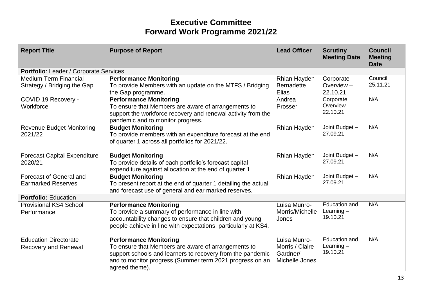| <b>Report Title</b>                                         | <b>Purpose of Report</b>                                                                                                                                                                                                         | <b>Lead Officer</b>                                           | <b>Scrutiny</b><br><b>Meeting Date</b>           | <b>Council</b><br><b>Meeting</b><br><b>Date</b> |
|-------------------------------------------------------------|----------------------------------------------------------------------------------------------------------------------------------------------------------------------------------------------------------------------------------|---------------------------------------------------------------|--------------------------------------------------|-------------------------------------------------|
| Portfolio: Leader / Corporate Services                      |                                                                                                                                                                                                                                  |                                                               |                                                  |                                                 |
| <b>Medium Term Financial</b><br>Strategy / Bridging the Gap | <b>Performance Monitoring</b><br>To provide Members with an update on the MTFS / Bridging<br>the Gap programme.                                                                                                                  | Rhian Hayden<br><b>Bernadette</b><br>Elias                    | Corporate<br>Overview $-$<br>22.10.21            | Council<br>25.11.21                             |
| COVID 19 Recovery -<br>Workforce                            | <b>Performance Monitoring</b><br>To ensure that Members are aware of arrangements to<br>support the workforce recovery and renewal activity from the<br>pandemic and to monitor progress.                                        | Andrea<br>Prosser                                             | Corporate<br>Overview $-$<br>22.10.21            | N/A                                             |
| <b>Revenue Budget Monitoring</b><br>2021/22                 | <b>Budget Monitoring</b><br>To provide members with an expenditure forecast at the end<br>of quarter 1 across all portfolios for 2021/22.                                                                                        | Rhian Hayden                                                  | Joint Budget -<br>27.09.21                       | N/A                                             |
| <b>Forecast Capital Expenditure</b><br>2020/21              | <b>Budget Monitoring</b><br>To provide details of each portfolio's forecast capital<br>expenditure against allocation at the end of quarter 1                                                                                    | Rhian Hayden                                                  | Joint Budget -<br>27.09.21                       | N/A                                             |
| <b>Forecast of General and</b><br><b>Earmarked Reserves</b> | <b>Budget Monitoring</b><br>To present report at the end of quarter 1 detailing the actual<br>and forecast use of general and ear marked reserves.                                                                               | Rhian Hayden                                                  | Joint Budget -<br>27.09.21                       | N/A                                             |
| <b>Portfolio: Education</b>                                 |                                                                                                                                                                                                                                  |                                                               |                                                  |                                                 |
| <b>Provisional KS4 School</b><br>Performance                | <b>Performance Monitoring</b><br>To provide a summary of performance in line with<br>accountability changes to ensure that children and young<br>people achieve in line with expectations, particularly at KS4.                  | Luisa Munro-<br>Morris/Michelle<br>Jones                      | Education and<br>Learning $-$<br>19.10.21        | N/A                                             |
| <b>Education Directorate</b><br><b>Recovery and Renewal</b> | <b>Performance Monitoring</b><br>To ensure that Members are aware of arrangements to<br>support schools and learners to recovery from the pandemic<br>and to monitor progress (Summer term 2021 progress on an<br>agreed theme). | Luisa Munro-<br>Morris / Claire<br>Gardner/<br>Michelle Jones | <b>Education and</b><br>Learning $-$<br>19.10.21 | N/A                                             |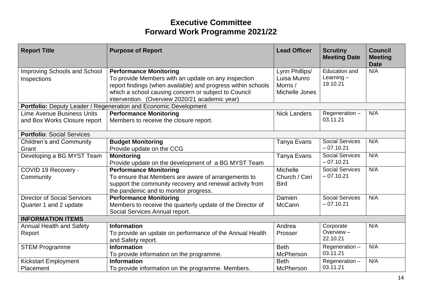| <b>Report Title</b>                                               | <b>Purpose of Report</b>                                                                                                                                                                                                                                       | <b>Lead Officer</b>                                         | <b>Scrutiny</b><br><b>Meeting Date</b>           | <b>Council</b><br><b>Meeting</b><br><b>Date</b> |
|-------------------------------------------------------------------|----------------------------------------------------------------------------------------------------------------------------------------------------------------------------------------------------------------------------------------------------------------|-------------------------------------------------------------|--------------------------------------------------|-------------------------------------------------|
| Improving Schools and School<br>Inspections                       | <b>Performance Monitoring</b><br>To provide Members with an update on any inspection<br>report findings (when available) and progress within schools<br>which a school causing concern or subject to Council<br>intervention. (Overview 2020/21 academic year) | Lynn Phillips/<br>Luisa Munro<br>Morris /<br>Michelle Jones | <b>Education and</b><br>Learning $-$<br>19.10.21 | N/A                                             |
|                                                                   | Portfolio: Deputy Leader / Regeneration and Economic Development                                                                                                                                                                                               |                                                             |                                                  |                                                 |
| <b>Lime Avenue Business Units</b><br>and Box Works Closure report | <b>Performance Monitoring</b><br>Members to receive the closure report.                                                                                                                                                                                        | <b>Nick Landers</b>                                         | Regeneration-<br>03.11.21                        | N/A                                             |
| <b>Portfolio: Social Services</b>                                 |                                                                                                                                                                                                                                                                |                                                             |                                                  |                                                 |
| <b>Children's and Community</b><br>Grant                          | <b>Budget Monitoring</b><br>Provide update on the CCG                                                                                                                                                                                                          | Tanya Evans                                                 | <b>Social Services</b><br>$-07.10.21$            | N/A                                             |
| Developing a BG MYST Team                                         | <b>Monitoring</b><br>Provide update on the development of a BG MYST Team                                                                                                                                                                                       | Tanya Evans                                                 | <b>Social Services</b><br>$-07.10.21$            | N/A                                             |
| COVID 19 Recovery -<br>Community                                  | <b>Performance Monitoring</b><br>To ensure that Members are aware of arrangements to<br>support the community recovery and renewal activity from<br>the pandemic and to monitor progress.                                                                      | <b>Michelle</b><br>Church / Ceri<br><b>Bird</b>             | <b>Social Services</b><br>$-07.10.21$            | N/A                                             |
| <b>Director of Social Services</b><br>Quarter 1 and 2 update      | <b>Performance Monitoring</b><br>Members to receive the quarterly update of the Director of<br>Social Services Annual report.                                                                                                                                  | Damien<br>McCann                                            | <b>Social Services</b><br>$-07.10.21$            | N/A                                             |
| <b>INFORMATION ITEMS</b>                                          |                                                                                                                                                                                                                                                                |                                                             |                                                  |                                                 |
| <b>Annual Health and Safety</b><br>Report                         | <b>Information</b><br>To provide an update on performance of the Annual Health<br>and Safety report.                                                                                                                                                           | Andrea<br>Prosser                                           | Corporate<br>Overview $-$<br>22.10.21            | N/A                                             |
| <b>STEM Programme</b>                                             | <b>Information</b><br>To provide information on the programme.                                                                                                                                                                                                 | <b>Beth</b><br>McPherson                                    | Regeneration-<br>03.11.21                        | N/A                                             |
| <b>Kickstart Employment</b><br>Placement                          | <b>Information</b><br>To provide information on the programme. Members.                                                                                                                                                                                        | <b>Beth</b><br>McPherson                                    | Regeneration-<br>03.11.21                        | N/A                                             |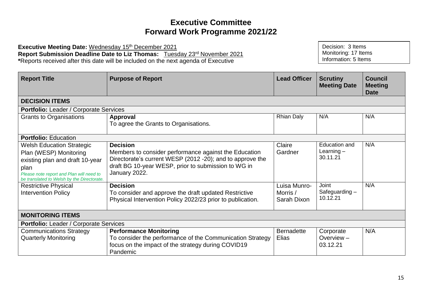Executive Meeting Date: Wednesday 15<sup>th</sup> December 2021 **Report Submission Deadline Date to Liz Thomas:** Tuesday 23rd November 2021 **\***Reports received after this date will be included on the next agenda of Executive

| <b>Report Title</b>                                                                                                                                                                             | <b>Purpose of Report</b>                                                                                                                                                                                      | <b>Lead Officer</b>                     | <b>Scrutiny</b><br><b>Meeting Date</b>    | <b>Council</b><br><b>Meeting</b><br><b>Date</b> |  |
|-------------------------------------------------------------------------------------------------------------------------------------------------------------------------------------------------|---------------------------------------------------------------------------------------------------------------------------------------------------------------------------------------------------------------|-----------------------------------------|-------------------------------------------|-------------------------------------------------|--|
| <b>DECISION ITEMS</b>                                                                                                                                                                           |                                                                                                                                                                                                               |                                         |                                           |                                                 |  |
| <b>Portfolio:</b> Leader / Corporate Services                                                                                                                                                   |                                                                                                                                                                                                               |                                         |                                           |                                                 |  |
| <b>Grants to Organisations</b>                                                                                                                                                                  | Approval<br>To agree the Grants to Organisations.                                                                                                                                                             | <b>Rhian Daly</b>                       | N/A                                       | N/A                                             |  |
| <b>Portfolio: Education</b>                                                                                                                                                                     |                                                                                                                                                                                                               |                                         |                                           |                                                 |  |
| <b>Welsh Education Strategic</b><br>Plan (WESP) Monitoring<br>existing plan and draft 10-year<br>plan<br>Please note report and Plan will need to<br>be translated to Welsh by the Directorate. | <b>Decision</b><br>Members to consider performance against the Education<br>Directorate's current WESP (2012 -20); and to approve the<br>draft BG 10-year WESP, prior to submission to WG in<br>January 2022. | Claire<br>Gardner                       | Education and<br>Learning $-$<br>30.11.21 | N/A                                             |  |
| <b>Restrictive Physical</b><br><b>Intervention Policy</b>                                                                                                                                       | <b>Decision</b><br>To consider and approve the draft updated Restrictive<br>Physical Intervention Policy 2022/23 prior to publication.                                                                        | Luisa Munro-<br>Morris /<br>Sarah Dixon | <b>Joint</b><br>Safeguarding-<br>10.12.21 | N/A                                             |  |
| <b>MONITORING ITEMS</b>                                                                                                                                                                         |                                                                                                                                                                                                               |                                         |                                           |                                                 |  |
| <b>Portfolio:</b> Leader / Corporate Services                                                                                                                                                   |                                                                                                                                                                                                               |                                         |                                           |                                                 |  |
| <b>Communications Strategy</b><br><b>Quarterly Monitoring</b>                                                                                                                                   | <b>Performance Monitoring</b><br>To consider the performance of the Communication Strategy<br>focus on the impact of the strategy during COVID19<br>Pandemic                                                  | <b>Bernadette</b><br>Elias              | Corporate<br>Overview $-$<br>03.12.21     | N/A                                             |  |

Decision: 3 Items Monitoring: 17 Items Information: 5 Items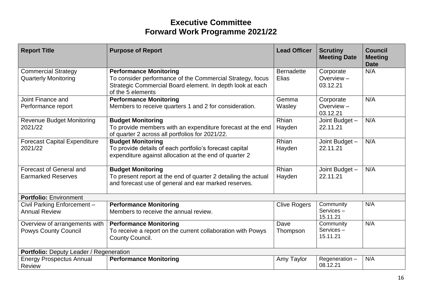| <b>Report Title</b>                                          | <b>Purpose of Report</b>                                                                                                                                                     | <b>Lead Officer</b>        | <b>Scrutiny</b><br><b>Meeting Date</b> | <b>Council</b><br><b>Meeting</b><br><b>Date</b> |
|--------------------------------------------------------------|------------------------------------------------------------------------------------------------------------------------------------------------------------------------------|----------------------------|----------------------------------------|-------------------------------------------------|
| <b>Commercial Strategy</b><br><b>Quarterly Monitoring</b>    | <b>Performance Monitoring</b><br>To consider performance of the Commercial Strategy, focus<br>Strategic Commercial Board element. In depth look at each<br>of the 5 elements | <b>Bernadette</b><br>Elias | Corporate<br>Overview $-$<br>03.12.21  | N/A                                             |
| Joint Finance and<br>Performance report                      | <b>Performance Monitoring</b><br>Members to receive quarters 1 and 2 for consideration.                                                                                      | Gemma<br>Wasley            | Corporate<br>Overview $-$<br>03.12.21  | N/A                                             |
| <b>Revenue Budget Monitoring</b><br>2021/22                  | <b>Budget Monitoring</b><br>To provide members with an expenditure forecast at the end<br>of quarter 2 across all portfolios for 2021/22.                                    | Rhian<br>Hayden            | Joint Budget -<br>22.11.21             | N/A                                             |
| <b>Forecast Capital Expenditure</b><br>2021/22               | <b>Budget Monitoring</b><br>To provide details of each portfolio's forecast capital<br>expenditure against allocation at the end of quarter 2                                | Rhian<br>Hayden            | Joint Budget -<br>22.11.21             | N/A                                             |
| Forecast of General and<br><b>Earmarked Reserves</b>         | <b>Budget Monitoring</b><br>To present report at the end of quarter 2 detailing the actual<br>and forecast use of general and ear marked reserves.                           | Rhian<br>Hayden            | Joint Budget -<br>22.11.21             | N/A                                             |
| <b>Portfolio: Environment</b>                                |                                                                                                                                                                              |                            |                                        |                                                 |
| Civil Parking Enforcement -<br><b>Annual Review</b>          | <b>Performance Monitoring</b><br>Members to receive the annual review.                                                                                                       | <b>Clive Rogers</b>        | Community<br>Services-<br>15.11.21     | N/A                                             |
| Overview of arrangements with<br><b>Powys County Council</b> | <b>Performance Monitoring</b><br>To receive a report on the current collaboration with Powys<br>County Council.                                                              | Dave<br>Thompson           | Community<br>Services-<br>15.11.21     | N/A                                             |
| Portfolio: Deputy Leader / Regeneration                      |                                                                                                                                                                              |                            |                                        |                                                 |
| <b>Energy Prospectus Annual</b><br><b>Review</b>             | <b>Performance Monitoring</b>                                                                                                                                                | Amy Taylor                 | Regeneration-<br>08.12.21              | N/A                                             |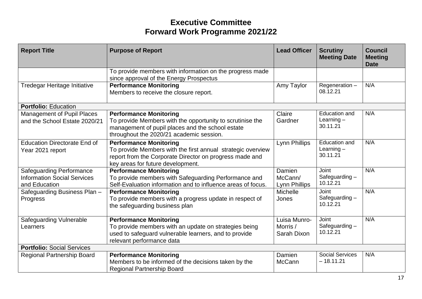| <b>Report Title</b>                                                                    | <b>Purpose of Report</b>                                                                                                                                                                     | <b>Lead Officer</b>                     | <b>Scrutiny</b><br><b>Meeting Date</b>    | <b>Council</b><br><b>Meeting</b><br><b>Date</b> |
|----------------------------------------------------------------------------------------|----------------------------------------------------------------------------------------------------------------------------------------------------------------------------------------------|-----------------------------------------|-------------------------------------------|-------------------------------------------------|
|                                                                                        | To provide members with information on the progress made<br>since approval of the Energy Prospectus                                                                                          |                                         |                                           |                                                 |
| <b>Tredegar Heritage Initiative</b>                                                    | <b>Performance Monitoring</b><br>Members to receive the closure report.                                                                                                                      | Amy Taylor                              | Regeneration-<br>08.12.21                 | N/A                                             |
| <b>Portfolio: Education</b>                                                            |                                                                                                                                                                                              |                                         |                                           |                                                 |
| <b>Management of Pupil Places</b><br>and the School Estate 2020/21                     | <b>Performance Monitoring</b><br>To provide Members with the opportunity to scrutinise the<br>management of pupil places and the school estate<br>throughout the 2020/21 academic session.   | Claire<br>Gardner                       | Education and<br>Learning $-$<br>30.11.21 | N/A                                             |
| <b>Education Directorate End of</b><br>Year 2021 report                                | <b>Performance Monitoring</b><br>To provide Members with the first annual strategic overview<br>report from the Corporate Director on progress made and<br>key areas for future development. | Lynn Phillips                           | Education and<br>Learning $-$<br>30.11.21 | N/A                                             |
| <b>Safeguarding Performance</b><br><b>Information Social Services</b><br>and Education | <b>Performance Monitoring</b><br>To provide members with Safeguarding Performance and<br>Self-Evaluation information and to influence areas of focus.                                        | Damien<br>McCann/<br>Lynn Phillips      | <b>Joint</b><br>Safeguarding-<br>10.12.21 | N/A                                             |
| Safeguarding Business Plan -<br>Progress                                               | <b>Performance Monitoring</b><br>To provide members with a progress update in respect of<br>the safeguarding business plan                                                                   | Michelle<br>Jones                       | Joint<br>Safeguarding-<br>10.12.21        | N/A                                             |
| <b>Safeguarding Vulnerable</b><br>Learners                                             | <b>Performance Monitoring</b><br>To provide members with an update on strategies being<br>used to safeguard vulnerable learners, and to provide<br>relevant performance data                 | Luisa Munro-<br>Morris /<br>Sarah Dixon | Joint<br>Safeguarding-<br>10.12.21        | N/A                                             |
| <b>Portfolio: Social Services</b>                                                      |                                                                                                                                                                                              |                                         |                                           |                                                 |
| <b>Regional Partnership Board</b>                                                      | <b>Performance Monitoring</b><br>Members to be informed of the decisions taken by the<br><b>Regional Partnership Board</b>                                                                   | Damien<br><b>McCann</b>                 | <b>Social Services</b><br>$-18.11.21$     | N/A                                             |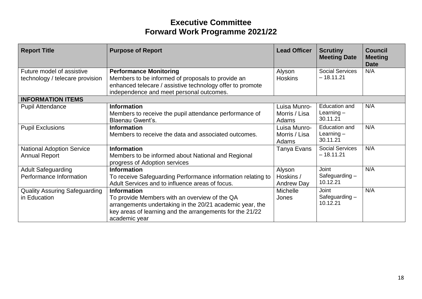| <b>Report Title</b>                                          | <b>Purpose of Report</b>                                                                                                                                                                                     | <b>Lead Officer</b>                      | <b>Scrutiny</b><br><b>Meeting Date</b>    | <b>Council</b><br><b>Meeting</b><br><b>Date</b> |
|--------------------------------------------------------------|--------------------------------------------------------------------------------------------------------------------------------------------------------------------------------------------------------------|------------------------------------------|-------------------------------------------|-------------------------------------------------|
| Future model of assistive<br>technology / telecare provision | <b>Performance Monitoring</b><br>Members to be informed of proposals to provide an<br>enhanced telecare / assistive technology offer to promote<br>independence and meet personal outcomes.                  | Alyson<br><b>Hoskins</b>                 | <b>Social Services</b><br>$-18.11.21$     | N/A                                             |
| <b>INFORMATION ITEMS</b>                                     |                                                                                                                                                                                                              |                                          |                                           |                                                 |
| <b>Pupil Attendance</b>                                      | <b>Information</b><br>Members to receive the pupil attendance performance of<br><b>Blaenau Gwent's.</b>                                                                                                      | Luisa Munro-<br>Morris / Lisa<br>Adams   | Education and<br>Learning $-$<br>30.11.21 | N/A                                             |
| <b>Pupil Exclusions</b>                                      | <b>Information</b><br>Members to receive the data and associated outcomes.                                                                                                                                   | Luisa Munro-<br>Morris / Lisa<br>Adams   | Education and<br>Learning $-$<br>30.11.21 | N/A                                             |
| <b>National Adoption Service</b><br><b>Annual Report</b>     | <b>Information</b><br>Members to be informed about National and Regional<br>progress of Adoption services                                                                                                    | Tanya Evans                              | <b>Social Services</b><br>$-18.11.21$     | N/A                                             |
| <b>Adult Safeguarding</b><br>Performance Information         | <b>Information</b><br>To receive Safeguarding Performance information relating to<br>Adult Services and to influence areas of focus.                                                                         | Alyson<br>Hoskins /<br><b>Andrew Day</b> | Joint<br>Safeguarding $-$<br>10.12.21     | N/A                                             |
| <b>Quality Assuring Safeguarding</b><br>in Education         | <b>Information</b><br>To provide Members with an overview of the QA<br>arrangements undertaking in the 20/21 academic year, the<br>key areas of learning and the arrangements for the 21/22<br>academic year | <b>Michelle</b><br>Jones                 | Joint<br>Safeguarding $-$<br>10.12.21     | N/A                                             |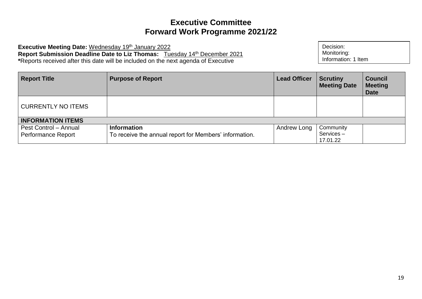Executive Meeting Date: Wednesday 19<sup>th</sup> January 2022 **Report Submission Deadline Date to Liz Thomas:** Tuesday 14th December 2021 **\***Reports received after this date will be included on the next agenda of Executive

| <b>Report Title</b>                                | <b>Purpose of Report</b>                                                     | <b>Lead Officer</b> | <b>Scrutiny</b><br><b>Meeting Date</b> | <b>Council</b><br><b>Meeting</b><br><b>Date</b> |
|----------------------------------------------------|------------------------------------------------------------------------------|---------------------|----------------------------------------|-------------------------------------------------|
| <b>CURRENTLY NO ITEMS</b>                          |                                                                              |                     |                                        |                                                 |
| <b>INFORMATION ITEMS</b>                           |                                                                              |                     |                                        |                                                 |
| Pest Control - Annual<br><b>Performance Report</b> | <b>Information</b><br>To receive the annual report for Members' information. | Andrew Long         | Community<br>Services-<br>17.01.22     |                                                 |

Decision: Monitoring:

Information: 1 Item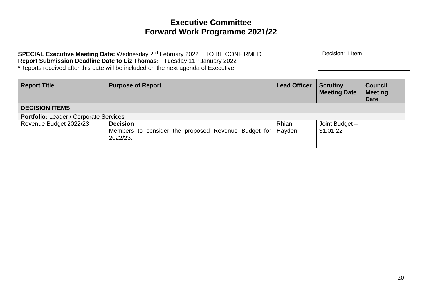SPECIAL Executive Meeting Date: Wednesday 2<sup>nd</sup> February 2022 TO BE CONFIRMED **Report Submission Deadline Date to Liz Thomas:** Tuesday 11th January 2022 **\***Reports received after this date will be included on the next agenda of Executive

| <b>Report Title</b>                           | <b>Purpose of Report</b>                            | <b>Lead Officer</b> | <b>Scrutiny</b><br><b>Meeting Date</b> | <b>Council</b><br><b>Meeting</b><br><b>Date</b> |
|-----------------------------------------------|-----------------------------------------------------|---------------------|----------------------------------------|-------------------------------------------------|
| <b>DECISION ITEMS</b>                         |                                                     |                     |                                        |                                                 |
| <b>Portfolio:</b> Leader / Corporate Services |                                                     |                     |                                        |                                                 |
| Revenue Budget 2022/23                        | <b>Decision</b>                                     | Rhian               | Joint Budget -                         |                                                 |
|                                               | Members to consider the proposed Revenue Budget for | Hayden              | 31.01.22                               |                                                 |
|                                               | 2022/23.                                            |                     |                                        |                                                 |
|                                               |                                                     |                     |                                        |                                                 |

Decision: 1 Item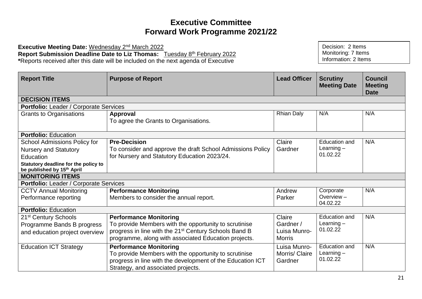Executive Meeting Date: Wednesday 2<sup>nd</sup> March 2022 **Report Submission Deadline Date to Liz Thomas:** Tuesday 8th February 2022 **\***Reports received after this date will be included on the next agenda of Executive

| <b>Report Title</b>                                                | <b>Purpose of Report</b>                                                                                                                                                                   | <b>Lead Officer</b>                       | <b>Scrutiny</b><br><b>Meeting Date</b>           | <b>Council</b><br><b>Meeting</b><br><b>Date</b> |  |  |
|--------------------------------------------------------------------|--------------------------------------------------------------------------------------------------------------------------------------------------------------------------------------------|-------------------------------------------|--------------------------------------------------|-------------------------------------------------|--|--|
| <b>DECISION ITEMS</b>                                              |                                                                                                                                                                                            |                                           |                                                  |                                                 |  |  |
|                                                                    | Portfolio: Leader / Corporate Services                                                                                                                                                     |                                           |                                                  |                                                 |  |  |
| <b>Grants to Organisations</b>                                     | Approval<br>To agree the Grants to Organisations.                                                                                                                                          | <b>Rhian Daly</b>                         | N/A                                              | N/A                                             |  |  |
| <b>Portfolio: Education</b>                                        |                                                                                                                                                                                            |                                           |                                                  |                                                 |  |  |
| School Admissions Policy for                                       | <b>Pre-Decision</b>                                                                                                                                                                        | Claire                                    | <b>Education and</b>                             | N/A                                             |  |  |
| <b>Nursery and Statutory</b>                                       | To consider and approve the draft School Admissions Policy                                                                                                                                 | Gardner                                   | Learning $-$                                     |                                                 |  |  |
| Education                                                          | for Nursery and Statutory Education 2023/24.                                                                                                                                               |                                           | 01.02.22                                         |                                                 |  |  |
| Statutory deadline for the policy to<br>be published by 15th April |                                                                                                                                                                                            |                                           |                                                  |                                                 |  |  |
| <b>MONITORING ITEMS</b>                                            |                                                                                                                                                                                            |                                           |                                                  |                                                 |  |  |
| <b>Portfolio: Leader / Corporate Services</b>                      |                                                                                                                                                                                            |                                           |                                                  |                                                 |  |  |
| <b>CCTV Annual Monitoring</b>                                      | <b>Performance Monitoring</b>                                                                                                                                                              | Andrew                                    | Corporate                                        | N/A                                             |  |  |
| Performance reporting                                              | Members to consider the annual report.                                                                                                                                                     | Parker                                    | Overview $-$<br>04.02.22                         |                                                 |  |  |
| <b>Portfolio: Education</b>                                        |                                                                                                                                                                                            |                                           |                                                  |                                                 |  |  |
| 21 <sup>st</sup> Century Schools                                   | <b>Performance Monitoring</b>                                                                                                                                                              | Claire                                    | <b>Education and</b>                             | N/A                                             |  |  |
| Programme Bands B progress                                         | To provide Members with the opportunity to scrutinise                                                                                                                                      | Gardner /                                 | Learning $-$                                     |                                                 |  |  |
| and education project overview                                     | progress in line with the 21 <sup>st</sup> Century Schools Band B                                                                                                                          | Luisa Munro-                              | 01.02.22                                         |                                                 |  |  |
|                                                                    | programme, along with associated Education projects.                                                                                                                                       | <b>Morris</b>                             |                                                  |                                                 |  |  |
| <b>Education ICT Strategy</b>                                      | <b>Performance Monitoring</b><br>To provide Members with the opportunity to scrutinise<br>progress in line with the development of the Education ICT<br>Strategy, and associated projects. | Luisa Munro-<br>Morris/ Claire<br>Gardner | <b>Education and</b><br>Learning $-$<br>01.02.22 | N/A                                             |  |  |

Decision: 2 Items Monitoring: 7 Items Information: 2 Items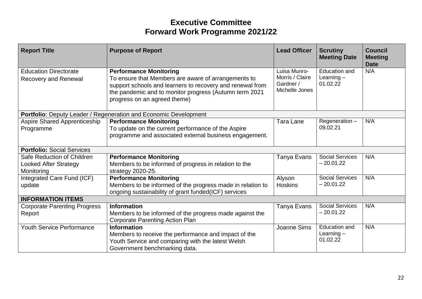| <b>Report Title</b>                                                      | <b>Purpose of Report</b>                                                                                                                                                                                                                    | <b>Lead Officer</b>                                            | <b>Scrutiny</b><br><b>Meeting Date</b>           | <b>Council</b><br><b>Meeting</b><br><b>Date</b> |
|--------------------------------------------------------------------------|---------------------------------------------------------------------------------------------------------------------------------------------------------------------------------------------------------------------------------------------|----------------------------------------------------------------|--------------------------------------------------|-------------------------------------------------|
| <b>Education Directorate</b><br>Recovery and Renewal                     | <b>Performance Monitoring</b><br>To ensure that Members are aware of arrangements to<br>support schools and learners to recovery and renewal from<br>the pandemic and to monitor progress (Autumn term 2021<br>progress on an agreed theme) | Luisa Munro-<br>Morris / Claire<br>Gardner /<br>Michelle Jones | <b>Education and</b><br>Learning $-$<br>01.02.22 | N/A                                             |
|                                                                          | <b>Portfolio:</b> Deputy Leader / Regeneration and Economic Development                                                                                                                                                                     |                                                                |                                                  |                                                 |
| <b>Aspire Shared Apprenticeship</b><br>Programme                         | <b>Performance Monitoring</b><br>To update on the current performance of the Aspire<br>programme and associated external business engagement.                                                                                               | Tara Lane                                                      | Regeneration-<br>09.02.21                        | N/A                                             |
| <b>Portfolio: Social Services</b>                                        |                                                                                                                                                                                                                                             |                                                                |                                                  |                                                 |
| Safe Reduction of Children<br><b>Looked After Strategy</b><br>Monitoring | <b>Performance Monitoring</b><br>Members to be informed of progress in relation to the<br>strategy 2020-25.                                                                                                                                 | Tanya Evans                                                    | <b>Social Services</b><br>$-20.01.22$            | N/A                                             |
| Integrated Care Fund (ICF)<br>update                                     | <b>Performance Monitoring</b><br>Members to be informed of the progress made in relation to<br>ongoing sustainability of grant funded(ICF) services                                                                                         | Alyson<br><b>Hoskins</b>                                       | <b>Social Services</b><br>$-20.01.22$            | N/A                                             |
| <b>INFORMATION ITEMS</b>                                                 |                                                                                                                                                                                                                                             |                                                                |                                                  |                                                 |
| <b>Corporate Parenting Progress</b><br>Report                            | <b>Information</b><br>Members to be informed of the progress made against the<br><b>Corporate Parenting Action Plan</b>                                                                                                                     | Tanya Evans                                                    | <b>Social Services</b><br>$-20.01.22$            | N/A                                             |
| <b>Youth Service Performance</b>                                         | <b>Information</b><br>Members to receive the performance and impact of the<br>Youth Service and comparing with the latest Welsh<br>Government benchmarking data.                                                                            | Joanne Sims                                                    | <b>Education and</b><br>Learning $-$<br>01.02.22 | N/A                                             |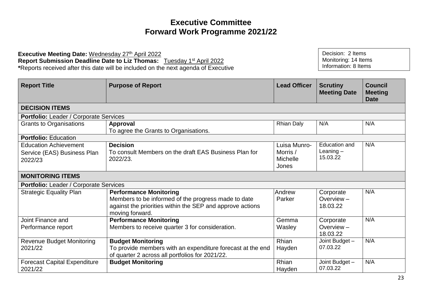**Executive Meeting Date: Wednesday 27th April 2022 Report Submission Deadline Date to Liz Thomas:** Tuesday 1st April 2022 **\***Reports received after this date will be included on the next agenda of Executive

Decision: 2 Items Monitoring: 14 Items Information: 8 Items

| <b>Report Title</b>                                                    | <b>Purpose of Report</b>                                                                                                                                             | <b>Lead Officer</b>                           | <b>Scrutiny</b><br><b>Meeting Date</b>   | <b>Council</b><br><b>Meeting</b><br><b>Date</b> |
|------------------------------------------------------------------------|----------------------------------------------------------------------------------------------------------------------------------------------------------------------|-----------------------------------------------|------------------------------------------|-------------------------------------------------|
| <b>DECISION ITEMS</b>                                                  |                                                                                                                                                                      |                                               |                                          |                                                 |
| Portfolio: Leader / Corporate Services                                 |                                                                                                                                                                      |                                               |                                          |                                                 |
| <b>Grants to Organisations</b>                                         | Approval<br>To agree the Grants to Organisations.                                                                                                                    | <b>Rhian Daly</b>                             | N/A                                      | N/A                                             |
| <b>Portfolio: Education</b>                                            |                                                                                                                                                                      |                                               |                                          |                                                 |
| <b>Education Achievement</b><br>Service (EAS) Business Plan<br>2022/23 | <b>Decision</b><br>To consult Members on the draft EAS Business Plan for<br>2022/23.                                                                                 | Luisa Munro-<br>Morris /<br>Michelle<br>Jones | Education and<br>Leaning $-$<br>15.03.22 | N/A                                             |
| <b>MONITORING ITEMS</b>                                                |                                                                                                                                                                      |                                               |                                          |                                                 |
| Portfolio: Leader / Corporate Services                                 |                                                                                                                                                                      |                                               |                                          |                                                 |
| <b>Strategic Equality Plan</b>                                         | <b>Performance Monitoring</b><br>Members to be informed of the progress made to date<br>against the priorities within the SEP and approve actions<br>moving forward. | Andrew<br>Parker                              | Corporate<br>Overview $-$<br>18.03.22    | N/A                                             |
| Joint Finance and<br>Performance report                                | <b>Performance Monitoring</b><br>Members to receive quarter 3 for consideration.                                                                                     | Gemma<br>Wasley                               | Corporate<br>Overview $-$<br>18.03.22    | N/A                                             |
| <b>Revenue Budget Monitoring</b><br>2021/22                            | <b>Budget Monitoring</b><br>To provide members with an expenditure forecast at the end<br>of quarter 2 across all portfolios for 2021/22.                            | Rhian<br>Hayden                               | Joint Budget -<br>07.03.22               | N/A                                             |
| <b>Forecast Capital Expenditure</b><br>2021/22                         | <b>Budget Monitoring</b>                                                                                                                                             | Rhian<br>Hayden                               | Joint Budget -<br>07.03.22               | N/A                                             |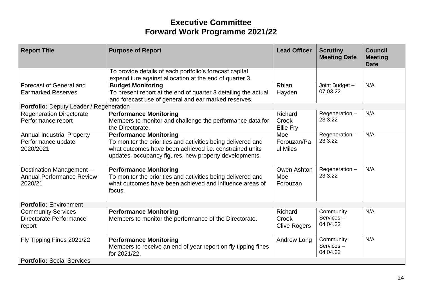| <b>Report Title</b>                                                     | <b>Purpose of Report</b>                                                                                                                                                                                           | <b>Lead Officer</b>                     | <b>Scrutiny</b><br><b>Meeting Date</b> | <b>Council</b><br><b>Meeting</b><br><b>Date</b> |
|-------------------------------------------------------------------------|--------------------------------------------------------------------------------------------------------------------------------------------------------------------------------------------------------------------|-----------------------------------------|----------------------------------------|-------------------------------------------------|
|                                                                         | To provide details of each portfolio's forecast capital<br>expenditure against allocation at the end of quarter 3.                                                                                                 |                                         |                                        |                                                 |
| Forecast of General and<br><b>Earmarked Reserves</b>                    | <b>Budget Monitoring</b><br>To present report at the end of quarter 3 detailing the actual<br>and forecast use of general and ear marked reserves.                                                                 | Rhian<br>Hayden                         | Joint Budget -<br>07.03.22             | N/A                                             |
| Portfolio: Deputy Leader / Regeneration                                 |                                                                                                                                                                                                                    |                                         |                                        |                                                 |
| <b>Regeneration Directorate</b><br>Performance report                   | <b>Performance Monitoring</b><br>Members to monitor and challenge the performance data for<br>the Directorate.                                                                                                     | Richard<br>Crook<br>Ellie Fry           | Regeneration-<br>23.3.22               | N/A                                             |
| <b>Annual Industrial Property</b><br>Performance update<br>2020/2021    | <b>Performance Monitoring</b><br>To monitor the priorities and activities being delivered and<br>what outcomes have been achieved i.e. constrained units<br>updates, occupancy figures, new property developments. | Moe<br>Forouzan/Pa<br>ul Miles          | Regeneration-<br>23.3.22               | N/A                                             |
| Destination Management -<br><b>Annual Performance Review</b><br>2020/21 | <b>Performance Monitoring</b><br>To monitor the priorities and activities being delivered and<br>what outcomes have been achieved and influence areas of<br>focus.                                                 | Owen Ashton<br>Moe<br>Forouzan          | Regeneration-<br>23.3.22               | N/A                                             |
| <b>Portfolio: Environment</b>                                           |                                                                                                                                                                                                                    |                                         |                                        |                                                 |
| <b>Community Services</b><br>Directorate Performance<br>report          | <b>Performance Monitoring</b><br>Members to monitor the performance of the Directorate.                                                                                                                            | Richard<br>Crook<br><b>Clive Rogers</b> | Community<br>Services-<br>04.04.22     | N/A                                             |
| Fly Tipping Fines 2021/22                                               | <b>Performance Monitoring</b><br>Members to receive an end of year report on fly tipping fines<br>for 2021/22.                                                                                                     | Andrew Long                             | Community<br>Services-<br>04.04.22     | N/A                                             |
| <b>Portfolio: Social Services</b>                                       |                                                                                                                                                                                                                    |                                         |                                        |                                                 |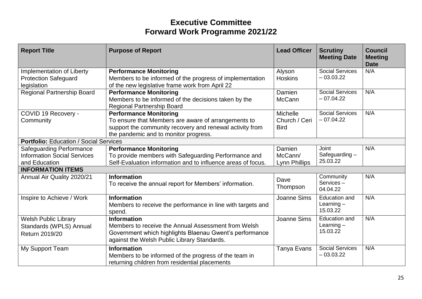| <b>Report Title</b>                                                                    | <b>Purpose of Report</b>                                                                                                                                                                  | <b>Lead Officer</b>                             | <b>Scrutiny</b><br><b>Meeting Date</b>    | <b>Council</b><br><b>Meeting</b><br><b>Date</b> |
|----------------------------------------------------------------------------------------|-------------------------------------------------------------------------------------------------------------------------------------------------------------------------------------------|-------------------------------------------------|-------------------------------------------|-------------------------------------------------|
| Implementation of Liberty<br><b>Protection Safeguard</b><br>legislation                | <b>Performance Monitoring</b><br>Members to be informed of the progress of implementation<br>of the new legislative frame work from April 22                                              | Alyson<br><b>Hoskins</b>                        | <b>Social Services</b><br>$-03.03.22$     | N/A                                             |
| <b>Regional Partnership Board</b>                                                      | <b>Performance Monitoring</b><br>Members to be informed of the decisions taken by the<br><b>Regional Partnership Board</b>                                                                | Damien<br>McCann                                | <b>Social Services</b><br>$-07.04.22$     | N/A                                             |
| COVID 19 Recovery -<br>Community                                                       | <b>Performance Monitoring</b><br>To ensure that Members are aware of arrangements to<br>support the community recovery and renewal activity from<br>the pandemic and to monitor progress. | <b>Michelle</b><br>Church / Ceri<br><b>Bird</b> | <b>Social Services</b><br>$-07.04.22$     | N/A                                             |
| <b>Portfolio: Education / Social Services</b>                                          |                                                                                                                                                                                           |                                                 |                                           |                                                 |
| <b>Safeguarding Performance</b><br><b>Information Social Services</b><br>and Education | <b>Performance Monitoring</b><br>To provide members with Safeguarding Performance and<br>Self-Evaluation information and to influence areas of focus.                                     | Damien<br>McCann/<br><b>Lynn Phillips</b>       | Joint<br>Safeguarding-<br>25.03.22        | N/A                                             |
| <b>INFORMATION ITEMS</b>                                                               |                                                                                                                                                                                           |                                                 |                                           |                                                 |
| Annual Air Quality 2020/21                                                             | <b>Information</b><br>To receive the annual report for Members' information.                                                                                                              | Dave<br>Thompson                                | Community<br>Services-<br>04.04.22        | N/A                                             |
| Inspire to Achieve / Work                                                              | <b>Information</b><br>Members to receive the performance in line with targets and<br>spend.                                                                                               | <b>Joanne Sims</b>                              | Education and<br>Learning $-$<br>15.03.22 | N/A                                             |
| <b>Welsh Public Library</b><br>Standards (WPLS) Annual<br>Return 2019/20               | <b>Information</b><br>Members to receive the Annual Assessment from Welsh<br>Government which highlights Blaenau Gwent's performance<br>against the Welsh Public Library Standards.       | Joanne Sims                                     | Education and<br>Learning $-$<br>15.03.22 | N/A                                             |
| My Support Team                                                                        | <b>Information</b><br>Members to be informed of the progress of the team in<br>returning children from residential placements                                                             | Tanya Evans                                     | <b>Social Services</b><br>$-03.03.22$     | N/A                                             |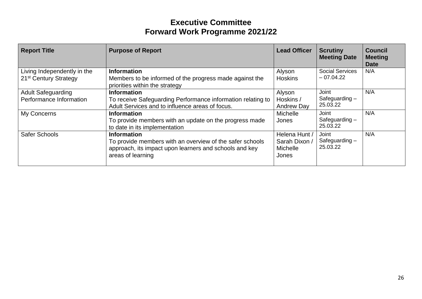| <b>Report Title</b>                                              | <b>Purpose of Report</b>                                                                                                                                      | <b>Lead Officer</b>                                        | <b>Scrutiny</b><br><b>Meeting Date</b> | <b>Council</b><br><b>Meeting</b><br><b>Date</b> |
|------------------------------------------------------------------|---------------------------------------------------------------------------------------------------------------------------------------------------------------|------------------------------------------------------------|----------------------------------------|-------------------------------------------------|
| Living Independently in the<br>21 <sup>st</sup> Century Strategy | <b>Information</b><br>Members to be informed of the progress made against the<br>priorities within the strategy                                               | Alyson<br><b>Hoskins</b>                                   | <b>Social Services</b><br>$-07.04.22$  | N/A                                             |
| <b>Adult Safeguarding</b><br>Performance Information             | <b>Information</b><br>To receive Safeguarding Performance information relating to<br>Adult Services and to influence areas of focus.                          | Alyson<br>Hoskins /<br><b>Andrew Day</b>                   | Joint<br>Safeguarding $-$<br>25.03.22  | N/A                                             |
| My Concerns                                                      | <b>Information</b><br>To provide members with an update on the progress made<br>to date in its implementation                                                 | <b>Michelle</b><br>Jones                                   | Joint<br>Safeguarding $-$<br>25.03.22  | N/A                                             |
| Safer Schools                                                    | <b>Information</b><br>To provide members with an overview of the safer schools<br>approach, its impact upon learners and schools and key<br>areas of learning | Helena Hunt /<br>Sarah Dixon /<br><b>Michelle</b><br>Jones | Joint<br>Safeguarding $-$<br>25.03.22  | N/A                                             |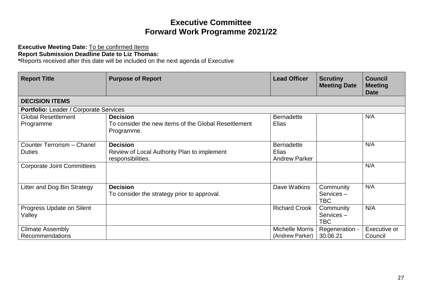#### **Executive Meeting Date:** To be confirmed Items

#### **Report Submission Deadline Date to Liz Thomas:**

**\***Reports received after this date will be included on the next agenda of Executive

| <b>Report Title</b>                     | <b>Purpose of Report</b>                                                | <b>Lead Officer</b>           | <b>Scrutiny</b><br><b>Meeting Date</b> | <b>Council</b><br><b>Meeting</b><br><b>Date</b> |
|-----------------------------------------|-------------------------------------------------------------------------|-------------------------------|----------------------------------------|-------------------------------------------------|
| <b>DECISION ITEMS</b>                   |                                                                         |                               |                                        |                                                 |
| Portfolio: Leader / Corporate Services  |                                                                         |                               |                                        |                                                 |
| <b>Global Resettlement</b><br>Programme | <b>Decision</b><br>To consider the new items of the Global Resettlement | <b>Bernadette</b><br>Elias    |                                        | N/A                                             |
|                                         | Programme.                                                              |                               |                                        |                                                 |
| Counter Terrorism - Chanel              | <b>Decision</b>                                                         | <b>Bernadette</b>             |                                        | N/A                                             |
| <b>Duties</b>                           | Review of Local Authority Plan to implement<br>responsibilities.        | Elias<br><b>Andrew Parker</b> |                                        |                                                 |
| <b>Corporate Joint Committees</b>       |                                                                         |                               |                                        | N/A                                             |
| Litter and Dog Bin Strategy             | <b>Decision</b><br>To consider the strategy prior to approval.          | Dave Watkins                  | Community<br>Services-<br><b>TBC</b>   | N/A                                             |
| Progress Update on Silent<br>Valley     |                                                                         | <b>Richard Crook</b>          | Community<br>Services-<br><b>TBC</b>   | N/A                                             |
| <b>Climate Assembly</b>                 |                                                                         | <b>Michelle Morris</b>        | Regeneration -                         | Executive or                                    |
| <b>Recommendations</b>                  |                                                                         | (Andrew Parker)               | 30.06.21                               | Council                                         |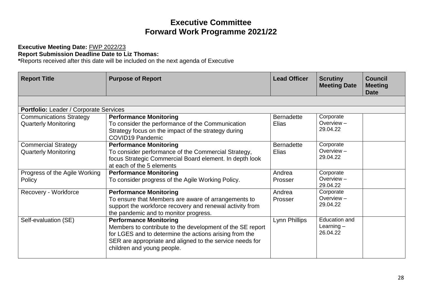#### **Executive Meeting Date:** FWP 2022/23 **Report Submission Deadline Date to Liz Thomas:**

**\***Reports received after this date will be included on the next agenda of Executive

| <b>Report Title</b>                                           | <b>Purpose of Report</b>                                                                                                                                                                                                                       | <b>Lead Officer</b>               | <b>Scrutiny</b><br><b>Meeting Date</b>    | <b>Council</b><br><b>Meeting</b><br>Date |
|---------------------------------------------------------------|------------------------------------------------------------------------------------------------------------------------------------------------------------------------------------------------------------------------------------------------|-----------------------------------|-------------------------------------------|------------------------------------------|
|                                                               |                                                                                                                                                                                                                                                |                                   |                                           |                                          |
| Portfolio: Leader / Corporate Services                        |                                                                                                                                                                                                                                                |                                   |                                           |                                          |
| <b>Communications Strategy</b><br><b>Quarterly Monitoring</b> | <b>Performance Monitoring</b><br>To consider the performance of the Communication<br>Strategy focus on the impact of the strategy during<br><b>COVID19 Pandemic</b>                                                                            | <b>Bernadette</b><br>Elias        | Corporate<br>Overview $-$<br>29.04.22     |                                          |
| <b>Commercial Strategy</b><br><b>Quarterly Monitoring</b>     | <b>Performance Monitoring</b><br>To consider performance of the Commercial Strategy,<br>focus Strategic Commercial Board element. In depth look<br>at each of the 5 elements                                                                   | <b>Bernadette</b><br><b>Elias</b> | Corporate<br>Overview $-$<br>29.04.22     |                                          |
| Progress of the Agile Working<br>Policy                       | <b>Performance Monitoring</b><br>To consider progress of the Agile Working Policy.                                                                                                                                                             | Andrea<br>Prosser                 | Corporate<br>Overview $-$<br>29.04.22     |                                          |
| Recovery - Workforce                                          | <b>Performance Monitoring</b><br>To ensure that Members are aware of arrangements to<br>support the workforce recovery and renewal activity from<br>the pandemic and to monitor progress.                                                      | Andrea<br>Prosser                 | Corporate<br>Overview $-$<br>29.04.22     |                                          |
| Self-evaluation (SE)                                          | <b>Performance Monitoring</b><br>Members to contribute to the development of the SE report<br>for LGES and to determine the actions arising from the<br>SER are appropriate and aligned to the service needs for<br>children and young people. | Lynn Phillips                     | Education and<br>Learning $-$<br>26.04.22 |                                          |